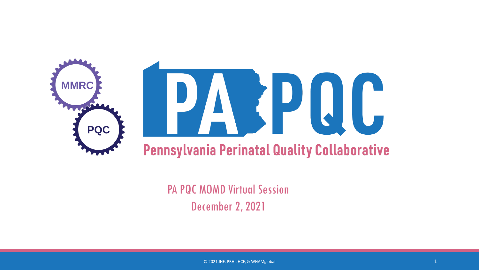

PA PQC MOMD Virtual Session December 2, 2021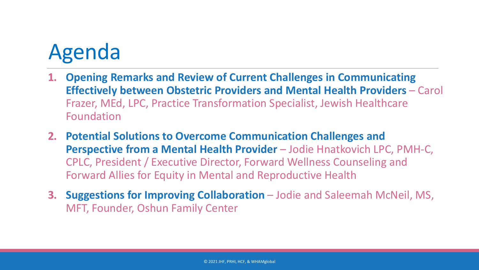# Agenda Agenda

- **1. Opening Remarks and Review of Current Challenges in Communicating Effectively between Obstetric Providers and Mental Health Providers** – Carol Frazer, MEd, LPC, Practice Transformation Specialist, Jewish Healthcare Foundation
- **2. Potential Solutions to Overcome Communication Challenges and**  Perspective from a Mental Health Provider - Jodie Hnatkovich LPC, PMH-C, CPLC, President / Executive Director, Forward Wellness Counseling and Forward Allies for Equity in Mental and Reproductive Health
- **3. Suggestions for Improving Collaboration** Jodie and Saleemah McNeil, MS, MFT, Founder, Oshun Family Center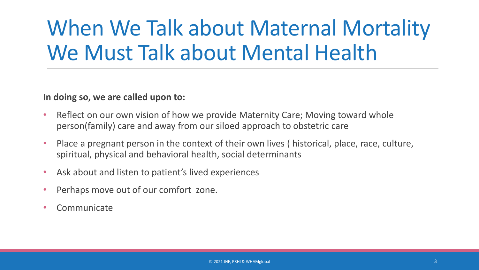## When We Talk about Maternal Mortality We Must Talk about Mental Health

#### **In doing so, we are called upon to:**

- Reflect on our own vision of how we provide Maternity Care; Moving toward whole person(family) care and away from our siloed approach to obstetric care
- Place a pregnant person in the context of their own lives ( historical, place, race, culture, spiritual, physical and behavioral health, social determinants
- Ask about and listen to patient's lived experiences
- Perhaps move out of our comfort zone.
- Communicate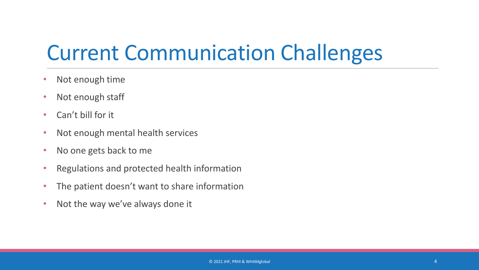### Current Communication Challenges

- Not enough time
- Not enough staff
- Can't bill for it
- Not enough mental health services
- No one gets back to me
- Regulations and protected health information
- The patient doesn't want to share information
- Not the way we've always done it